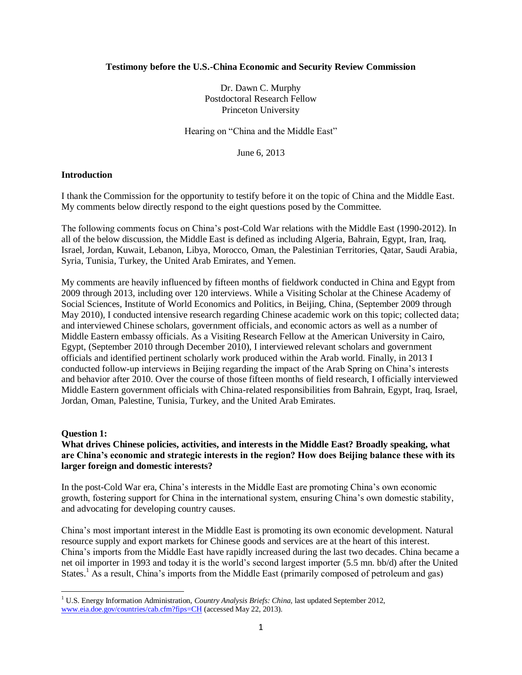### **Testimony before the U.S.-China Economic and Security Review Commission**

Dr. Dawn C. Murphy Postdoctoral Research Fellow Princeton University

Hearing on "China and the Middle East"

June 6, 2013

## **Introduction**

I thank the Commission for the opportunity to testify before it on the topic of China and the Middle East. My comments below directly respond to the eight questions posed by the Committee.

The following comments focus on China's post-Cold War relations with the Middle East (1990-2012). In all of the below discussion, the Middle East is defined as including Algeria, Bahrain, Egypt, Iran, Iraq, Israel, Jordan, Kuwait, Lebanon, Libya, Morocco, Oman, the Palestinian Territories, Qatar, Saudi Arabia, Syria, Tunisia, Turkey, the United Arab Emirates, and Yemen.

My comments are heavily influenced by fifteen months of fieldwork conducted in China and Egypt from 2009 through 2013, including over 120 interviews. While a Visiting Scholar at the Chinese Academy of Social Sciences, Institute of World Economics and Politics, in Beijing, China, (September 2009 through May 2010), I conducted intensive research regarding Chinese academic work on this topic; collected data; and interviewed Chinese scholars, government officials, and economic actors as well as a number of Middle Eastern embassy officials. As a Visiting Research Fellow at the American University in Cairo, Egypt, (September 2010 through December 2010), I interviewed relevant scholars and government officials and identified pertinent scholarly work produced within the Arab world. Finally, in 2013 I conducted follow-up interviews in Beijing regarding the impact of the Arab Spring on China's interests and behavior after 2010. Over the course of those fifteen months of field research, I officially interviewed Middle Eastern government officials with China-related responsibilities from Bahrain, Egypt, Iraq, Israel, Jordan, Oman, Palestine, Tunisia, Turkey, and the United Arab Emirates.

### **Question 1:**

 $\overline{a}$ 

# **What drives Chinese policies, activities, and interests in the Middle East? Broadly speaking, what are China's economic and strategic interests in the region? How does Beijing balance these with its larger foreign and domestic interests?**

In the post-Cold War era, China's interests in the Middle East are promoting China's own economic growth, fostering support for China in the international system, ensuring China's own domestic stability, and advocating for developing country causes.

China's most important interest in the Middle East is promoting its own economic development. Natural resource supply and export markets for Chinese goods and services are at the heart of this interest. China's imports from the Middle East have rapidly increased during the last two decades. China became a net oil importer in 1993 and today it is the world's second largest importer (5.5 mn. bb/d) after the United States.<sup>1</sup> As a result, China's imports from the Middle East (primarily composed of petroleum and gas)

<sup>&</sup>lt;sup>1</sup> U.S. Energy Information Administration, *Country Analysis Briefs: China*, last updated September 2012, [www.eia.doe.gov/countries/cab.cfm?fips=CH](http://www.eia.doe.gov/countries/cab.cfm?fips=CH) (accessed May 22, 2013).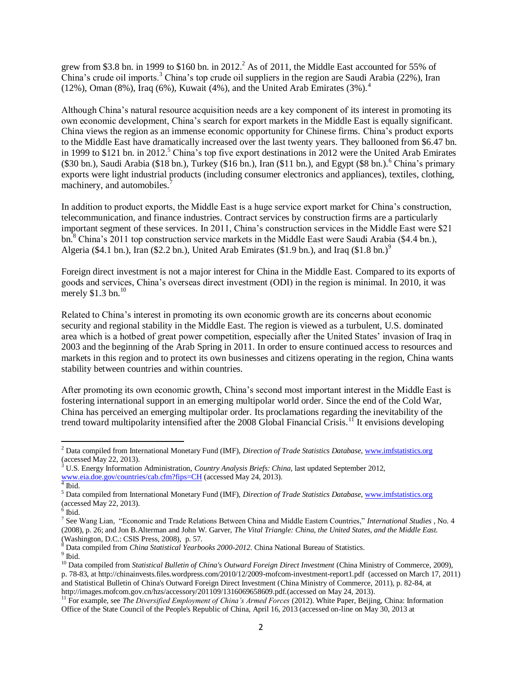grew from \$3.8 bn. in 1999 to \$160 bn. in  $2012<sup>2</sup>$  As of  $2011$ , the Middle East accounted for 55% of China's crude oil imports.<sup>3</sup> China's top crude oil suppliers in the region are Saudi Arabia (22%), Iran (12%), Oman (8%), Iraq (6%), Kuwait (4%), and the United Arab Emirates (3%).<sup>4</sup>

Although China's natural resource acquisition needs are a key component of its interest in promoting its own economic development, China's search for export markets in the Middle East is equally significant. China views the region as an immense economic opportunity for Chinese firms. China's product exports to the Middle East have dramatically increased over the last twenty years. They ballooned from \$6.47 bn. in 1999 to \$121 bn. in 2012.<sup>5</sup> China's top five export destinations in 2012 were the United Arab Emirates  $(\$30 \text{ bn.})$ , Saudi Arabia (\$18 bn.), Turkey (\$16 bn.), Iran (\$11 bn.), and Egypt (\$8 bn.).<sup>6</sup> China's primary exports were light industrial products (including consumer electronics and appliances), textiles, clothing, machinery, and automobiles.<sup>7</sup>

In addition to product exports, the Middle East is a huge service export market for China's construction, telecommunication, and finance industries. Contract services by construction firms are a particularly important segment of these services. In 2011, China's construction services in the Middle East were \$21 bn.<sup>8</sup> China's 2011 top construction service markets in the Middle East were Saudi Arabia (\$4.4 bn.), Algeria (\$4.1 bn.), Iran (\$2.2 bn.), United Arab Emirates (\$1.9 bn.), and Iraq (\$1.8 bn.)<sup>9</sup>

Foreign direct investment is not a major interest for China in the Middle East. Compared to its exports of goods and services, China's overseas direct investment (ODI) in the region is minimal. In 2010, it was merely  $$1.3$  bn.<sup>10</sup>

Related to China's interest in promoting its own economic growth are its concerns about economic security and regional stability in the Middle East. The region is viewed as a turbulent, U.S. dominated area which is a hotbed of great power competition, especially after the United States' invasion of Iraq in 2003 and the beginning of the Arab Spring in 2011. In order to ensure continued access to resources and markets in this region and to protect its own businesses and citizens operating in the region, China wants stability between countries and within countries.

After promoting its own economic growth, China's second most important interest in the Middle East is fostering international support in an emerging multipolar world order. Since the end of the Cold War, China has perceived an emerging multipolar order. Its proclamations regarding the inevitability of the trend toward multipolarity intensified after the 2008 Global Financial Crisis.<sup>11</sup> It envisions developing

 $\overline{a}$ <sup>2</sup> Data compiled from International Monetary Fund (IMF), *Direction of Trade Statistics Database,* [www.imfstatistics.org](http://www.imfstatistics.org/) (accessed May 22, 2013).

<sup>3</sup> U.S. Energy Information Administration, *Country Analysis Briefs: China,* last updated September 2012*,* [www.eia.doe.gov/countries/cab.cfm?fips=CH](http://www.eia.doe.gov/countries/cab.cfm?fips=CH) (accessed May 24, 2013).

 $<sup>4</sup>$  Ibid.</sup>

<sup>5</sup> Data compiled from International Monetary Fund (IMF), *Direction of Trade Statistics Database,* [www.imfstatistics.org](http://www.imfstatistics.org/) (accessed May 22, 2013).<br><sup>6</sup> Ibid.

<sup>7</sup> See Wang Lian, "Economic and Trade Relations Between China and Middle Eastern Countries," *International Studies* , No. 4 (2008), p. 26; and Jon B.Alterman and John W. Garver, *The Vital Triangle: China, the United States, and the Middle East.* (Washington, D.C.: CSIS Press, 2008)*,* p. 57.

<sup>8</sup> Data compiled from *China Statistical Yearbooks 2000-2012.* China National Bureau of Statistics.

<sup>&</sup>lt;sup>9</sup> Ibid.

<sup>&</sup>lt;sup>10</sup> Data compiled from *Statistical Bulletin of China's Outward Foreign Direct Investment* (China Ministry of Commerce, 2009), p. 78-83, at http://chinainvests.files.wordpress.com/2010/12/2009-mofcom-investment-report1.pdf (accessed on March 17, 2011) and Statistical Bulletin of China's Outward Foreign Direct Investment (China Ministry of Commerce, 2011), p. 82-84, at http://images.mofcom.gov.cn/hzs/accessory/201109/1316069658609.pdf*.*(accessed on May 24, 2013).

<sup>&</sup>lt;sup>11</sup> For example, see *The Diversified Employment of China's Armed Forces* (2012). White Paper, Beijing, China: Information Office of the State Council of the People's Republic of China, April 16, 2013 (accessed on-line on May 30, 2013 at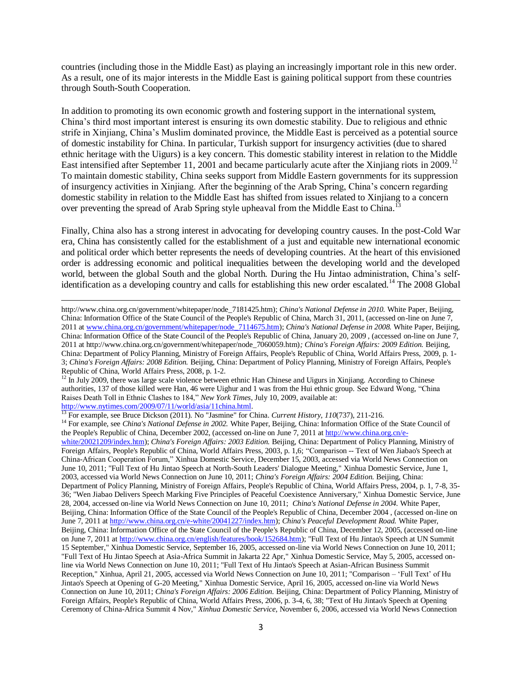countries (including those in the Middle East) as playing an increasingly important role in this new order. As a result, one of its major interests in the Middle East is gaining political support from these countries through South-South Cooperation.

In addition to promoting its own economic growth and fostering support in the international system, China's third most important interest is ensuring its own domestic stability. Due to religious and ethnic strife in Xinjiang, China's Muslim dominated province, the Middle East is perceived as a potential source of domestic instability for China. In particular, Turkish support for insurgency activities (due to shared ethnic heritage with the Uigurs) is a key concern. This domestic stability interest in relation to the Middle East intensified after September 11, 2001 and became particularly acute after the Xinjiang riots in 2009.<sup>12</sup> To maintain domestic stability, China seeks support from Middle Eastern governments for its suppression of insurgency activities in Xinjiang. After the beginning of the Arab Spring, China's concern regarding domestic stability in relation to the Middle East has shifted from issues related to Xinjiang to a concern over preventing the spread of Arab Spring style upheaval from the Middle East to China.<sup>13</sup>

Finally, China also has a strong interest in advocating for developing country causes. In the post-Cold War era, China has consistently called for the establishment of a just and equitable new international economic and political order which better represents the needs of developing countries. At the heart of this envisioned order is addressing economic and political inequalities between the developing world and the developed world, between the global South and the global North. During the Hu Jintao administration, China's selfidentification as a developing country and calls for establishing this new order escalated.<sup>14</sup> The 2008 Global

<sup>12</sup> In July 2009, there was large scale violence between ethnic Han Chinese and Uigurs in Xinjiang. According to Chinese authorities, 137 of those killed were Han, 46 were Uighur and 1 was from the Hui ethnic group. See Edward Wong, "China Raises Death Toll in Ethnic Clashes to 184," *New York Times*, July 10, 2009, available at: [http://www.nytimes.com/2009/07/11/world/asia/11china.html.](http://www.nytimes.com/2009/07/11/world/asia/11china.html)<br><sup>13</sup> For example, see Bruss Cislasse (2011), Nu<sup>11</sup>

<sup>13</sup> For example, see Bruce Dickson (2011). No "Jasmine" for China. *Current History, 110*(737), 211-216.

 $\overline{\phantom{a}}$ 

<sup>14</sup> For example, see *China's National Defense in 2002*. White Paper, Beijing, China: Information Office of the State Council of the People's Republic of China, December 2002, (accessed on-line on June 7, 2011 at [http://www.china.org.cn/e](http://www.china.org.cn/e-white/20021209/index.htm)[white/20021209/index.htm\)](http://www.china.org.cn/e-white/20021209/index.htm); *China's Foreign Affairs: 2003 Edition.* Beijing, China: Department of Policy Planning, Ministry of Foreign Affairs, People's Republic of China, World Affairs Press, 2003, p. 1,6; "Comparison -- Text of Wen Jiabao's Speech at China-African Cooperation Forum," Xinhua Domestic Service*,* December 15, 2003, accessed via World News Connection on June 10, 2011; "Full Text of Hu Jintao Speech at North-South Leaders' Dialogue Meeting," Xinhua Domestic Service, June 1, 2003, accessed via World News Connection on June 10, 2011; *China's Foreign Affairs: 2004 Edition.* Beijing, China: Department of Policy Planning, Ministry of Foreign Affairs, People's Republic of China, World Affairs Press, 2004, p. 1, 7-8, 35- 36; "Wen Jiabao Delivers Speech Marking Five Principles of Peaceful Coexistence Anniversary," Xinhua Domestic Service, June 28, 2004, accessed on-line via World News Connection on June 10, 2011; *China's National Defense in 2004.* White Paper, Beijing, China: Information Office of the State Council of the People's Republic of China, December 2004 , (accessed on-line on June 7, 2011 a[t http://www.china.org.cn/e-white/20041227/index.htm\)](http://www.china.org.cn/e-white/20041227/index.htm); *China's Peaceful Development Road.* White Paper, Beijing, China: Information Office of the State Council of the People's Republic of China, December 12, 2005, (accessed on-line on June 7, 2011 at [http://www.china.org.cn/english/features/book/152684.htm\)](http://www.china.org.cn/english/features/book/152684.htm); "Full Text of Hu Jintao's Speech at UN Summit 15 September," Xinhua Domestic Service, September 16, 2005, accessed on-line via World News Connection on June 10, 2011; "Full Text of Hu Jintao Speech at Asia-Africa Summit in Jakarta 22 Apr," Xinhua Domestic Service*,* May 5, 2005, accessed online via World News Connection on June 10, 2011; "Full Text of Hu Jintao's Speech at Asian-African Business Summit Reception," Xinhua, April 21, 2005, accessed via World News Connection on June 10, 2011; "Comparison – 'Full Text' of Hu Jintao's Speech at Opening of G-20 Meeting," Xinhua Domestic Service*,* April 16, 2005, accessed on-line via World News Connection on June 10, 2011; *China's Foreign Affairs: 2006 Edition.* Beijing, China: Department of Policy Planning, Ministry of Foreign Affairs, People's Republic of China, World Affairs Press, 2006, p. 3-4, 6, 38; "Text of Hu Jintao's Speech at Opening Ceremony of China-Africa Summit 4 Nov," *Xinhua Domestic Service*, November 6, 2006, accessed via World News Connection

http://www.china.org.cn/government/whitepaper/node\_7181425.htm); *China's National Defense in 2010.* White Paper, Beijing, China: Information Office of the State Council of the People's Republic of China, March 31, 2011, (accessed on-line on June 7, 2011 at [www.china.org.cn/government/whitepaper/node\\_7114675.htm\)](http://www.china.org.cn/government/whitepaper/node_7114675.htm); *China's National Defense in 2008.* White Paper, Beijing, China: Information Office of the State Council of the People's Republic of China, January 20, 2009 , (accessed on-line on June 7, 2011 at http://www.china.org.cn/government/whitepaper/node\_7060059.htm)*; China's Foreign Affairs: 2009 Edition.* Beijing, China: Department of Policy Planning, Ministry of Foreign Affairs, People's Republic of China, World Affairs Press, 2009, p. 1- 3; *China's Foreign Affairs: 2008 Edition.* Beijing, China: Department of Policy Planning, Ministry of Foreign Affairs, People's Republic of China, World Affairs Press, 2008, p. 1-2.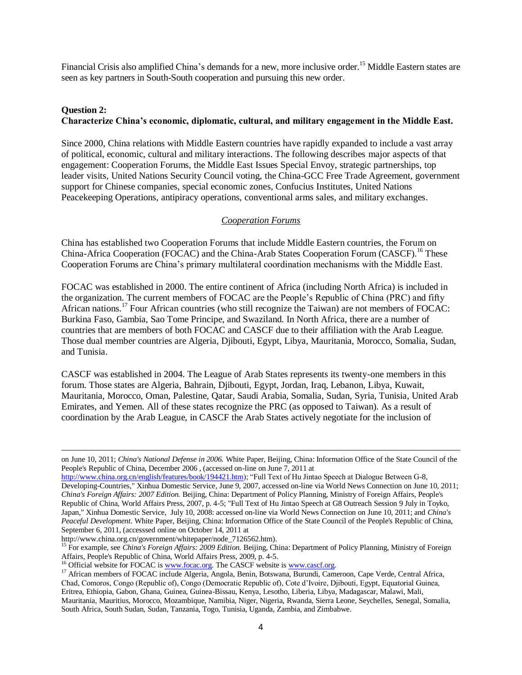Financial Crisis also amplified China's demands for a new, more inclusive order.<sup>15</sup> Middle Eastern states are seen as key partners in South-South cooperation and pursuing this new order.

# **Question 2: Characterize China's economic, diplomatic, cultural, and military engagement in the Middle East.**

Since 2000, China relations with Middle Eastern countries have rapidly expanded to include a vast array of political, economic, cultural and military interactions. The following describes major aspects of that engagement: Cooperation Forums, the Middle East Issues Special Envoy, strategic partnerships, top leader visits, United Nations Security Council voting, the China-GCC Free Trade Agreement, government support for Chinese companies, special economic zones, Confucius Institutes, United Nations Peacekeeping Operations, antipiracy operations, conventional arms sales, and military exchanges.

# *Cooperation Forums*

China has established two Cooperation Forums that include Middle Eastern countries, the Forum on China-Africa Cooperation (FOCAC) and the China-Arab States Cooperation Forum (CASCF).<sup>16</sup> These Cooperation Forums are China's primary multilateral coordination mechanisms with the Middle East.

FOCAC was established in 2000. The entire continent of Africa (including North Africa) is included in the organization. The current members of FOCAC are the People's Republic of China (PRC) and fifty African nations.<sup>17</sup> Four African countries (who still recognize the Taiwan) are not members of FOCAC: Burkina Faso, Gambia, Sao Tome Principe, and Swaziland. In North Africa, there are a number of countries that are members of both FOCAC and CASCF due to their affiliation with the Arab League. Those dual member countries are Algeria, Djibouti, Egypt, Libya, Mauritania, Morocco, Somalia, Sudan, and Tunisia.

CASCF was established in 2004. The League of Arab States represents its twenty-one members in this forum. Those states are Algeria, Bahrain, Djibouti, Egypt, Jordan, Iraq, Lebanon, Libya, Kuwait, Mauritania, Morocco, Oman, Palestine, Qatar, Saudi Arabia, Somalia, Sudan, Syria, Tunisia, United Arab Emirates, and Yemen. All of these states recognize the PRC (as opposed to Taiwan). As a result of coordination by the Arab League, in CASCF the Arab States actively negotiate for the inclusion of

http://www.china.org.cn/government/whitepaper/node\_7126562.htm).

 $\overline{\phantom{a}}$ 

on June 10, 2011; *China's National Defense in 2006.* White Paper, Beijing, China: Information Office of the State Council of the People's Republic of China, December 2006 , (accessed on-line on June 7, 2011 at

[http://www.china.org.cn/english/features/book/194421.htm\)](http://www.china.org.cn/english/features/book/194421.htm); "Full Text of Hu Jintao Speech at Dialogue Between G-8, Developing-Countries," Xinhua Domestic Service*,* June 9, 2007, accessed on-line via World News Connection on June 10, 2011; *China's Foreign Affairs: 2007 Edition.* Beijing, China: Department of Policy Planning, Ministry of Foreign Affairs, People's Republic of China, World Affairs Press, 2007, p. 4-5; "Full Text of Hu Jintao Speech at G8 Outreach Session 9 July in Toyko, Japan," Xinhua Domestic Service, July 10, 2008: accessed on-line via World News Connection on June 10, 2011; and *China's Peaceful Development.* White Paper, Beijing, China: Information Office of the State Council of the People's Republic of China, September 6, 2011, (accesssed online on October 14, 2011 at

<sup>15</sup> For example, see *China's Foreign Affairs: 2009 Edition.* Beijing, China: Department of Policy Planning, Ministry of Foreign Affairs, People's Republic of China, World Affairs Press, 2009, p. 4-5.

 $16$  Official website for FOCAC i[s www.focac.org.](http://www.focac.org/) The CASCF website is www.cascf.org.

<sup>&</sup>lt;sup>17</sup> African members of FOCAC include Algeria, Angola, Benin, Botswana, Burundi, Cameroon, Cape Verde, Central Africa, Chad, Comoros, Congo (Republic of), Congo (Democratic Republic of), Cote d'Ivoire, Djibouti, Egypt, Equatorial Guinea, Eritrea, Ethiopia, Gabon, Ghana, Guinea, Guinea-Bissau, Kenya, Lesotho, Liberia, Libya, Madagascar, Malawi, Mali, Mauritania, Mauritius, Morocco, Mozambique, Namibia, Niger, Nigeria, Rwanda, Sierra Leone, Seychelles, Senegal, Somalia, South Africa, South Sudan, Sudan, Tanzania, Togo, Tunisia, Uganda, Zambia, and Zimbabwe.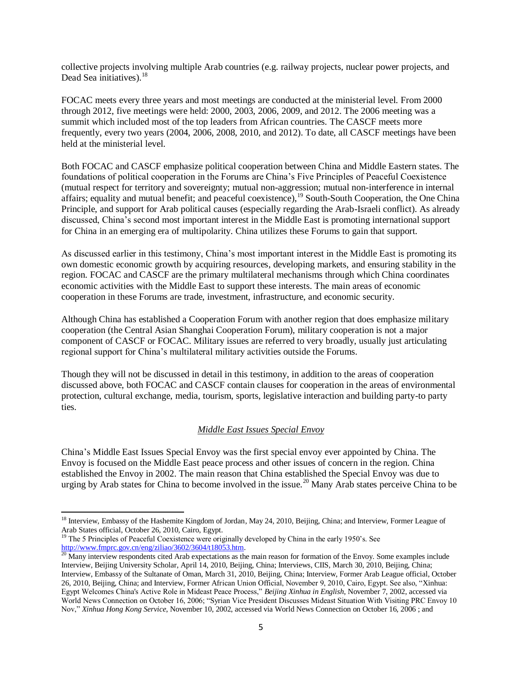collective projects involving multiple Arab countries (e.g. railway projects, nuclear power projects, and Dead Sea initiatives).  $18$ 

FOCAC meets every three years and most meetings are conducted at the ministerial level. From 2000 through 2012, five meetings were held: 2000, 2003, 2006, 2009, and 2012. The 2006 meeting was a summit which included most of the top leaders from African countries. The CASCF meets more frequently, every two years (2004, 2006, 2008, 2010, and 2012). To date, all CASCF meetings have been held at the ministerial level.

Both FOCAC and CASCF emphasize political cooperation between China and Middle Eastern states. The foundations of political cooperation in the Forums are China's Five Principles of Peaceful Coexistence (mutual respect for territory and sovereignty; mutual non-aggression; mutual non-interference in internal affairs; equality and mutual benefit; and peaceful coexistence),  $^{19}$  South-South Cooperation, the One China Principle, and support for Arab political causes (especially regarding the Arab-Israeli conflict). As already discussed, China's second most important interest in the Middle East is promoting international support for China in an emerging era of multipolarity. China utilizes these Forums to gain that support.

As discussed earlier in this testimony, China's most important interest in the Middle East is promoting its own domestic economic growth by acquiring resources, developing markets, and ensuring stability in the region. FOCAC and CASCF are the primary multilateral mechanisms through which China coordinates economic activities with the Middle East to support these interests. The main areas of economic cooperation in these Forums are trade, investment, infrastructure, and economic security.

Although China has established a Cooperation Forum with another region that does emphasize military cooperation (the Central Asian Shanghai Cooperation Forum), military cooperation is not a major component of CASCF or FOCAC. Military issues are referred to very broadly, usually just articulating regional support for China's multilateral military activities outside the Forums.

Though they will not be discussed in detail in this testimony, in addition to the areas of cooperation discussed above, both FOCAC and CASCF contain clauses for cooperation in the areas of environmental protection, cultural exchange, media, tourism, sports, legislative interaction and building party-to party ties.

# *Middle East Issues Special Envoy*

China's Middle East Issues Special Envoy was the first special envoy ever appointed by China. The Envoy is focused on the Middle East peace process and other issues of concern in the region. China established the Envoy in 2002. The main reason that China established the Special Envoy was due to urging by Arab states for China to become involved in the issue.<sup>20</sup> Many Arab states perceive China to be

 $\overline{a}$ 

<sup>&</sup>lt;sup>18</sup> Interview, Embassy of the Hashemite Kingdom of Jordan, May 24, 2010, Beijing, China; and Interview, Former League of Arab States official, October 26, 2010, Cairo, Egypt.

<sup>&</sup>lt;sup>19</sup> The 5 Principles of Peaceful Coexistence were originally developed by China in the early 1950's. See [http://www.fmprc.gov.cn/eng/ziliao/3602/3604/t18053.htm.](http://www.fmprc.gov.cn/eng/ziliao/3602/3604/t18053.htm)

 $^{20}$  Many interview respondents cited Arab expectations as the main reason for formation of the Envoy. Some examples include Interview, Beijing University Scholar, April 14, 2010, Beijing, China; Interviews, CIIS, March 30, 2010, Beijing, China; Interview, Embassy of the Sultanate of Oman, March 31, 2010, Beijing, China; Interview, Former Arab League official, October 26, 2010, Beijing, China; and Interview, Former African Union Official, November 9, 2010, Cairo, Egypt. See also, "Xinhua: Egypt Welcomes China's Active Role in Mideast Peace Process," *Beijing Xinhua in English*, November 7, 2002, accessed via World News Connection on October 16, 2006; "Syrian Vice President Discusses Mideast Situation With Visiting PRC Envoy 10 Nov," *Xinhua Hong Kong Service*, November 10, 2002, accessed via World News Connection on October 16, 2006 ; and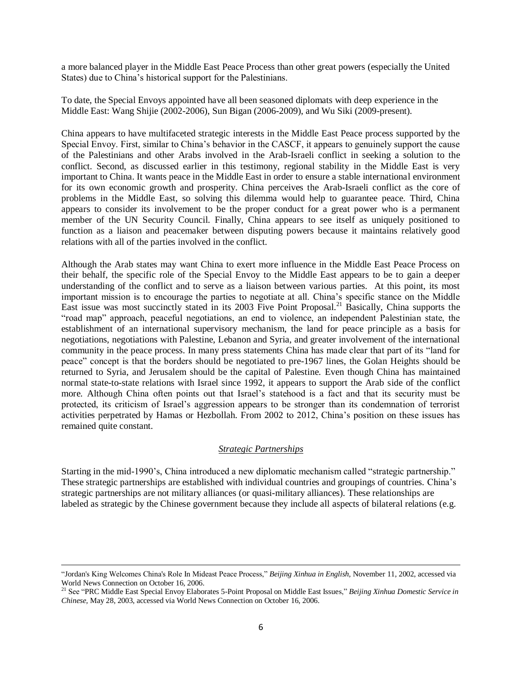a more balanced player in the Middle East Peace Process than other great powers (especially the United States) due to China's historical support for the Palestinians.

To date, the Special Envoys appointed have all been seasoned diplomats with deep experience in the Middle East: Wang Shijie (2002-2006), Sun Bigan (2006-2009), and Wu Siki (2009-present).

China appears to have multifaceted strategic interests in the Middle East Peace process supported by the Special Envoy. First, similar to China's behavior in the CASCF, it appears to genuinely support the cause of the Palestinians and other Arabs involved in the Arab-Israeli conflict in seeking a solution to the conflict. Second, as discussed earlier in this testimony, regional stability in the Middle East is very important to China. It wants peace in the Middle East in order to ensure a stable international environment for its own economic growth and prosperity. China perceives the Arab-Israeli conflict as the core of problems in the Middle East, so solving this dilemma would help to guarantee peace. Third, China appears to consider its involvement to be the proper conduct for a great power who is a permanent member of the UN Security Council. Finally, China appears to see itself as uniquely positioned to function as a liaison and peacemaker between disputing powers because it maintains relatively good relations with all of the parties involved in the conflict.

Although the Arab states may want China to exert more influence in the Middle East Peace Process on their behalf, the specific role of the Special Envoy to the Middle East appears to be to gain a deeper understanding of the conflict and to serve as a liaison between various parties. At this point, its most important mission is to encourage the parties to negotiate at all. China's specific stance on the Middle East issue was most succinctly stated in its 2003 Five Point Proposal.<sup>21</sup> Basically, China supports the "road map" approach, peaceful negotiations, an end to violence, an independent Palestinian state, the establishment of an international supervisory mechanism, the land for peace principle as a basis for negotiations, negotiations with Palestine, Lebanon and Syria, and greater involvement of the international community in the peace process. In many press statements China has made clear that part of its "land for peace" concept is that the borders should be negotiated to pre-1967 lines, the Golan Heights should be returned to Syria, and Jerusalem should be the capital of Palestine. Even though China has maintained normal state-to-state relations with Israel since 1992, it appears to support the Arab side of the conflict more. Although China often points out that Israel's statehood is a fact and that its security must be protected, its criticism of Israel's aggression appears to be stronger than its condemnation of terrorist activities perpetrated by Hamas or Hezbollah. From 2002 to 2012, China's position on these issues has remained quite constant.

### *Strategic Partnerships*

Starting in the mid-1990's, China introduced a new diplomatic mechanism called "strategic partnership." These strategic partnerships are established with individual countries and groupings of countries. China's strategic partnerships are not military alliances (or quasi-military alliances). These relationships are labeled as strategic by the Chinese government because they include all aspects of bilateral relations (e.g.

 $\overline{a}$ 

<sup>&</sup>quot;Jordan's King Welcomes China's Role In Mideast Peace Process," *Beijing Xinhua in English,* November 11, 2002, accessed via World News Connection on October 16, 2006.

<sup>21</sup> See "PRC Middle East Special Envoy Elaborates 5-Point Proposal on Middle East Issues," *Beijing Xinhua Domestic Service in Chinese,* May 28, 2003, accessed via World News Connection on October 16, 2006.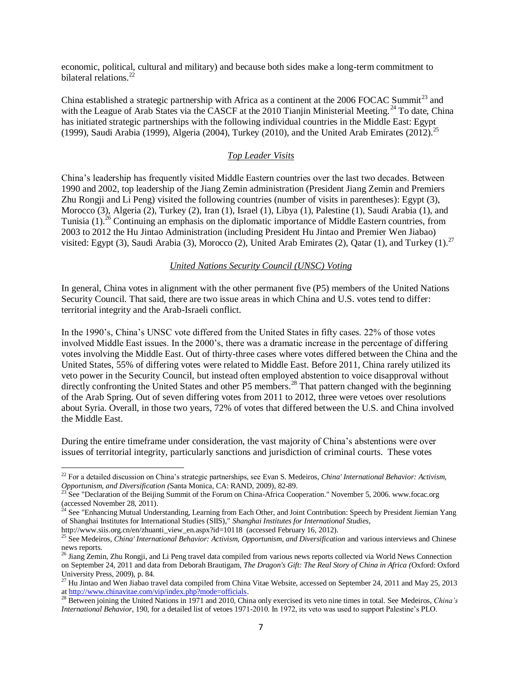economic, political, cultural and military) and because both sides make a long-term commitment to bilateral relations<sup>22</sup>

China established a strategic partnership with Africa as a continent at the 2006 FOCAC Summit<sup>23</sup> and with the League of Arab States via the CASCF at the 2010 Tianjin Ministerial Meeting.<sup>24</sup> To date, China has initiated strategic partnerships with the following individual countries in the Middle East: Egypt (1999), Saudi Arabia (1999), Algeria (2004), Turkey (2010), and the United Arab Emirates (2012).<sup>25</sup>

## *Top Leader Visits*

China's leadership has frequently visited Middle Eastern countries over the last two decades. Between 1990 and 2002, top leadership of the Jiang Zemin administration (President Jiang Zemin and Premiers Zhu Rongji and Li Peng) visited the following countries (number of visits in parentheses): Egypt (3), Morocco (3), Algeria (2), Turkey (2), Iran (1), Israel (1), Libya (1), Palestine (1), Saudi Arabia (1), and Tunisia  $(1)$ <sup>26</sup> Continuing an emphasis on the diplomatic importance of Middle Eastern countries, from 2003 to 2012 the Hu Jintao Administration (including President Hu Jintao and Premier Wen Jiabao) visited: Egypt (3), Saudi Arabia (3), Morocco (2), United Arab Emirates (2), Qatar (1), and Turkey (1).<sup>27</sup>

### *United Nations Security Council (UNSC) Voting*

In general, China votes in alignment with the other permanent five (P5) members of the United Nations Security Council. That said, there are two issue areas in which China and U.S. votes tend to differ: territorial integrity and the Arab-Israeli conflict.

In the 1990's, China's UNSC vote differed from the United States in fifty cases. 22% of those votes involved Middle East issues. In the 2000's, there was a dramatic increase in the percentage of differing votes involving the Middle East. Out of thirty-three cases where votes differed between the China and the United States, 55% of differing votes were related to Middle East. Before 2011, China rarely utilized its veto power in the Security Council, but instead often employed abstention to voice disapproval without directly confronting the United States and other P5 members.<sup>28</sup> That pattern changed with the beginning of the Arab Spring. Out of seven differing votes from 2011 to 2012, three were vetoes over resolutions about Syria. Overall, in those two years, 72% of votes that differed between the U.S. and China involved the Middle East.

During the entire timeframe under consideration, the vast majority of China's abstentions were over issues of territorial integrity, particularly sanctions and jurisdiction of criminal courts. These votes

 $\overline{\phantom{a}}$ <sup>22</sup> For a detailed discussion on China's strategic partnerships, see Evan S. Medeiros, *China' International Behavior: Activism, Opportunism, and Diversification (*Santa Monica, CA: RAND, 2009), 82-89.

<sup>23</sup> See "Declaration of the Beijing Summit of the Forum on China-Africa Cooperation." November 5, 2006. www.focac.org (accessed November 28, 2011).

<sup>24</sup> See "Enhancing Mutual Understanding, Learning from Each Other, and Joint Contribution: Speech by President Jiemian Yang of Shanghai Institutes for International Studies (SIIS)," *Shanghai Institutes for International Studies,* http://www.siis.org.cn/en/zhuanti\_view\_en.aspx?id=10118 (accessed February 16, 2012).

<sup>&</sup>lt;sup>25</sup> See Medeiros, *China' International Behavior: Activism, Opportunism, and Diversification* and various interviews and Chinese news reports.

 $^{26}$  Jiang Zemin, Zhu Rongji, and Li Peng travel data compiled from various news reports collected via World News Connection on September 24, 2011 and data from Deborah Brautigam, *The Dragon's Gift: The Real Story of China in Africa (*Oxford: Oxford University Press, 2009), p. 84.

 $^{27}$  Hu Jintao and Wen Jiabao travel data compiled from China Vitae Website, accessed on September 24, 2011 and May 25, 2013 a[t http://www.chinavitae.com/vip/index.php?mode=officials.](http://www.chinavitae.com/vip/index.php?mode=officials)

<sup>&</sup>lt;sup>28</sup> Between joining the United Nations in 1971 and 2010, China only exercised its veto nine times in total. See Medeiros, *China's International Behavior*, 190, for a detailed list of vetoes 1971-2010. In 1972, its veto was used to support Palestine's PLO.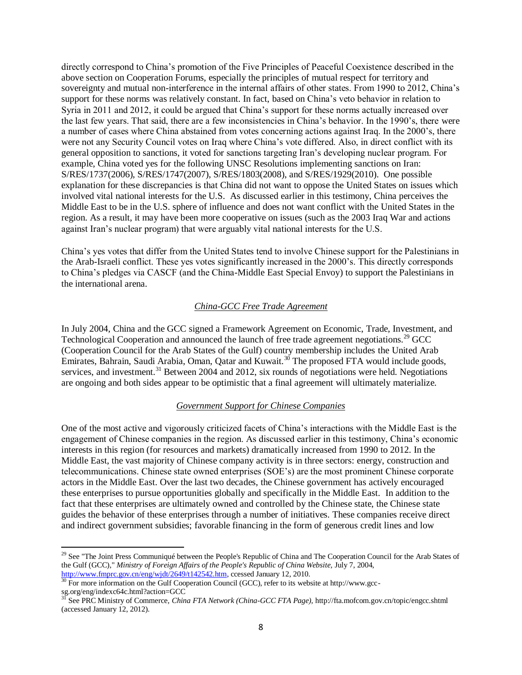directly correspond to China's promotion of the Five Principles of Peaceful Coexistence described in the above section on Cooperation Forums, especially the principles of mutual respect for territory and sovereignty and mutual non-interference in the internal affairs of other states. From 1990 to 2012, China's support for these norms was relatively constant. In fact, based on China's veto behavior in relation to Syria in 2011 and 2012, it could be argued that China's support for these norms actually increased over the last few years. That said, there are a few inconsistencies in China's behavior. In the 1990's, there were a number of cases where China abstained from votes concerning actions against Iraq. In the 2000's, there were not any Security Council votes on Iraq where China's vote differed. Also, in direct conflict with its general opposition to sanctions, it voted for sanctions targeting Iran's developing nuclear program. For example, China voted yes for the following UNSC Resolutions implementing sanctions on Iran: S/RES/1737(2006), S/RES/1747(2007), S/RES/1803(2008), and S/RES/1929(2010). One possible explanation for these discrepancies is that China did not want to oppose the United States on issues which involved vital national interests for the U.S. As discussed earlier in this testimony, China perceives the Middle East to be in the U.S. sphere of influence and does not want conflict with the United States in the region. As a result, it may have been more cooperative on issues (such as the 2003 Iraq War and actions against Iran's nuclear program) that were arguably vital national interests for the U.S.

China's yes votes that differ from the United States tend to involve Chinese support for the Palestinians in the Arab-Israeli conflict. These yes votes significantly increased in the 2000's. This directly corresponds to China's pledges via CASCF (and the China-Middle East Special Envoy) to support the Palestinians in the international arena.

# *China-GCC Free Trade Agreement*

In July 2004, China and the GCC signed a Framework Agreement on Economic, Trade, Investment, and Technological Cooperation and announced the launch of free trade agreement negotiations.<sup>29</sup> GCC (Cooperation Council for the Arab States of the Gulf) country membership includes the United Arab Emirates, Bahrain, Saudi Arabia, Oman, Qatar and Kuwait.<sup>30</sup> The proposed FTA would include goods, services, and investment.<sup>31</sup> Between 2004 and 2012, six rounds of negotiations were held. Negotiations are ongoing and both sides appear to be optimistic that a final agreement will ultimately materialize.

# *Government Support for Chinese Companies*

One of the most active and vigorously criticized facets of China's interactions with the Middle East is the engagement of Chinese companies in the region. As discussed earlier in this testimony, China's economic interests in this region (for resources and markets) dramatically increased from 1990 to 2012. In the Middle East, the vast majority of Chinese company activity is in three sectors: energy, construction and telecommunications. Chinese state owned enterprises (SOE's) are the most prominent Chinese corporate actors in the Middle East. Over the last two decades, the Chinese government has actively encouraged these enterprises to pursue opportunities globally and specifically in the Middle East. In addition to the fact that these enterprises are ultimately owned and controlled by the Chinese state, the Chinese state guides the behavior of these enterprises through a number of initiatives. These companies receive direct and indirect government subsidies; favorable financing in the form of generous credit lines and low

 $\overline{a}$ 

<sup>&</sup>lt;sup>29</sup> See "The Joint Press Communiqué between the People's Republic of China and The Cooperation Council for the Arab States of the Gulf (GCC)," *Ministry of Foreign Affairs of the People's Republic of China Website,* July 7, 2004, [http://www.fmprc.gov.cn/eng/wjdt/2649/t142542.htm,](http://www.fmprc.gov.cn/eng/wjdt/2649/t142542.htm) ccessed January 12, 2010.

<sup>&</sup>lt;sup>30</sup> For more information on the Gulf Cooperation Council (GCC), refer to its website at http://www.gccsg.org/eng/indexc64c.html?action=GCC

<sup>31</sup> See PRC Ministry of Commerce, *China FTA Network (China-GCC FTA Page),* http://fta.mofcom.gov.cn/topic/engcc.shtml (accessed January 12, 2012).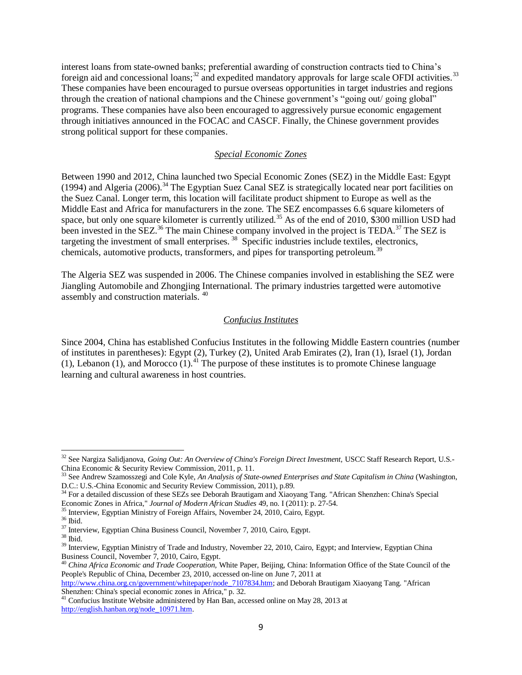interest loans from state-owned banks; preferential awarding of construction contracts tied to China's foreign aid and concessional loans; $32 \text{ and expected mandatory approxals}$  for large scale OFDI activities.<sup>33</sup> These companies have been encouraged to pursue overseas opportunities in target industries and regions through the creation of national champions and the Chinese government's "going out/ going global" programs. These companies have also been encouraged to aggressively pursue economic engagement through initiatives announced in the FOCAC and CASCF. Finally, the Chinese government provides strong political support for these companies.

### *Special Economic Zones*

Between 1990 and 2012, China launched two Special Economic Zones (SEZ) in the Middle East: Egypt (1994) and Algeria (2006).<sup>34</sup> The Egyptian Suez Canal SEZ is strategically located near port facilities on the Suez Canal. Longer term, this location will facilitate product shipment to Europe as well as the Middle East and Africa for manufacturers in the zone. The SEZ encompasses 6.6 square kilometers of space, but only one square kilometer is currently utilized.<sup>35</sup> As of the end of 2010, \$300 million USD had been invested in the SEZ.<sup>36</sup> The main Chinese company involved in the project is TEDA.<sup>37</sup> The SEZ is targeting the investment of small enterprises.<sup>38</sup> Specific industries include textiles, electronics, chemicals, automotive products, transformers, and pipes for transporting petroleum.<sup>39</sup>

The Algeria SEZ was suspended in 2006. The Chinese companies involved in establishing the SEZ were Jiangling Automobile and Zhongjing International. The primary industries targetted were automotive assembly and construction materials. <sup>40</sup>

### *Confucius Institutes*

Since 2004, China has established Confucius Institutes in the following Middle Eastern countries (number of institutes in parentheses): Egypt (2), Turkey (2), United Arab Emirates (2), Iran (1), Israel (1), Jordan (1), Lebanon (1), and Morocco (1).<sup>41</sup> The purpose of these institutes is to promote Chinese language learning and cultural awareness in host countries.

 $\overline{\phantom{a}}$ 

[http://www.china.org.cn/government/whitepaper/node\\_7107834.htm;](http://www.china.org.cn/government/whitepaper/node_7107834.htm) and Deborah Brautigam Xiaoyang Tang. "African Shenzhen: China's special economic zones in Africa," p. 32.

<sup>&</sup>lt;sup>32</sup> See Nargiza Salidjanova, *Going Out: An Overview of China's Foreign Direct Investment*, USCC Staff Research Report, U.S.-China Economic & Security Review Commission, 2011, p. 11.<br>
<sup>33</sup> See Androw Commission, 2011, p. 11.

<sup>33</sup> See Andrew Szamosszegi and Cole Kyle, *An Analysis of State-owned Enterprises and State Capitalism in China* (Washington, D.C.: U.S.-China Economic and Security Review Commission, 2011), p.89.

<sup>&</sup>lt;sup>34</sup> For a detailed discussion of these SEZs see Deborah Brautigam and Xiaoyang Tang. "African Shenzhen: China's Special Economic Zones in Africa," *Journal of Modern African Studies* 49, no. I (2011): p. 27-54.

<sup>35</sup> Interview, Egyptian Ministry of Foreign Affairs, November 24, 2010, Cairo, Egypt.

 $^{36}$  Ibid.

<sup>37</sup> Interview, Egyptian China Business Council, November 7, 2010, Cairo, Egypt.

 $^{38}$  Ibid.

<sup>&</sup>lt;sup>39</sup> Interview, Egyptian Ministry of Trade and Industry, November 22, 2010, Cairo, Egypt; and Interview, Egyptian China Business Council, November 7, 2010, Cairo, Egypt.

<sup>40</sup> *China Africa Economic and Trade Cooperation,* White Paper, Beijing, China: Information Office of the State Council of the People's Republic of China, December 23, 2010, accessed on-line on June 7, 2011 at

<sup>&</sup>lt;sup>41</sup> Confucius Institute Website administered by Han Ban, accessed online on May 28, 2013 at [http://english.hanban.org/node\\_10971.htm.](http://english.hanban.org/node_10971.htm)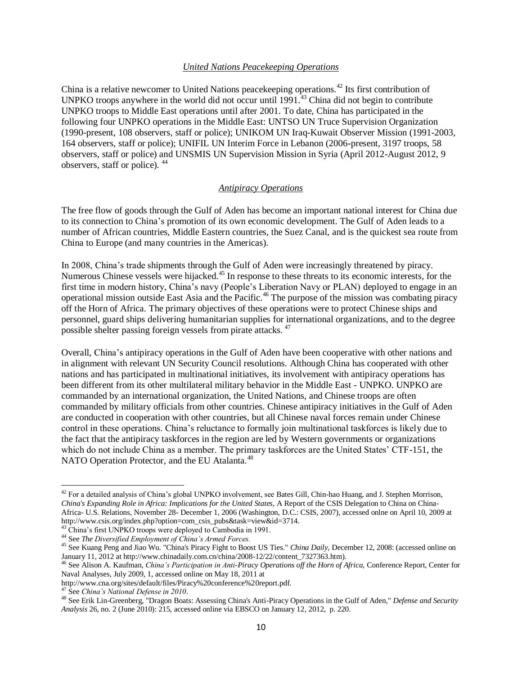#### *United Nations Peacekeeping Operations*

China is a relative newcomer to United Nations peacekeeping operations.<sup>42</sup> Its first contribution of UNPKO troops anywhere in the world did not occur until 1991.<sup>43</sup> China did not begin to contribute UNPKO troops to Middle East operations until after 2001. To date, China has participated in the following four UNPKO operations in the Middle East: UNTSO UN Truce Supervision Organization (1990-present, 108 observers, staff or police); UNIKOM UN Iraq-Kuwait Observer Mission (1991-2003, 164 observers, staff or police); UNIFIL UN Interim Force in Lebanon (2006-present, 3197 troops, 58 observers, staff or police) and UNSMIS UN Supervision Mission in Syria (April 2012-August 2012, 9 observers, staff or police). <sup>44</sup>

#### *Antipiracy Operations*

The free flow of goods through the Gulf of Aden has become an important national interest for China due to its connection to China's promotion of its own economic development. The Gulf of Aden leads to a number of African countries, Middle Eastern countries, the Suez Canal, and is the quickest sea route from China to Europe (and many countries in the Americas).

In 2008, China's trade shipments through the Gulf of Aden were increasingly threatened by piracy. Numerous Chinese vessels were hijacked.<sup>45</sup> In response to these threats to its economic interests, for the first time in modern history, China's navy (People's Liberation Navy or PLAN) deployed to engage in an operational mission outside East Asia and the Pacific.<sup>46</sup> The purpose of the mission was combating piracy off the Horn of Africa. The primary objectives of these operations were to protect Chinese ships and personnel, guard ships delivering humanitarian supplies for international organizations, and to the degree possible shelter passing foreign vessels from pirate attacks. <sup>47</sup>

Overall, China's antipiracy operations in the Gulf of Aden have been cooperative with other nations and in alignment with relevant UN Security Council resolutions. Although China has cooperated with other nations and has participated in multinational initiatives, its involvement with antipiracy operations has been different from its other multilateral military behavior in the Middle East - UNPKO. UNPKO are commanded by an international organization, the United Nations, and Chinese troops are often commanded by military officials from other countries. Chinese antipiracy initiatives in the Gulf of Aden are conducted in cooperation with other countries, but all Chinese naval forces remain under Chinese control in these operations. China's reluctance to formally join multinational taskforces is likely due to the fact that the antipiracy taskforces in the region are led by Western governments or organizations which do not include China as a member. The primary taskforces are the United States' CTF-151, the NATO Operation Protector, and the EU Atalanta.<sup>48</sup>

 $\overline{\phantom{a}}$ 

<sup>&</sup>lt;sup>42</sup> For a detailed analysis of China's global UNPKO involvement, see Bates Gill, Chin-hao Huang, and J. Stephen Morrison, *China's Expanding Role in Africa: Implications for the United States,* A Report of the CSIS Delegation to China on China-Africa- U.S. Relations, November 28- December 1, 2006 (Washington, D.C.: CSIS, 2007), accessed onlne on April 10, 2009 at http://www.csis.org/index.php?option=com\_csis\_pubs&task=view&id=3714.

<sup>&</sup>lt;sup>43</sup> China's first UNPKO troops were deployed to Cambodia in 1991.

<sup>44</sup> See *The Diversified Employment of China's Armed Forces.*

<sup>45</sup> See Kuang Peng and Jiao Wu. "China's Piracy Fight to Boost US Ties." *China Daily*, December 12, 2008: (accessed online on January 11, 2012 at http://www.chinadaily.com.cn/china/2008-12/22/content\_7327363.htm).

<sup>46</sup> See Alison A. Kaufman, *China's Participation in Anti-Piracy Operations off the Horn of Africa,* Conference Report, Center for Naval Analyses, July 2009, 1, accessed online on May 18, 2011 at

http://www.cna.org/sites/default/files/Piracy%20conference%20report.pdf.

<sup>47</sup> See *China's National Defense in 2010*.

<sup>48</sup> See Erik Lin-Greenberg, "Dragon Boats: Assessing China's Anti-Piracy Operations in the Gulf of Aden," *Defense and Security Analysis* 26, no. 2 (June 2010): 215, accessed online via EBSCO on January 12, 2012, p. 220.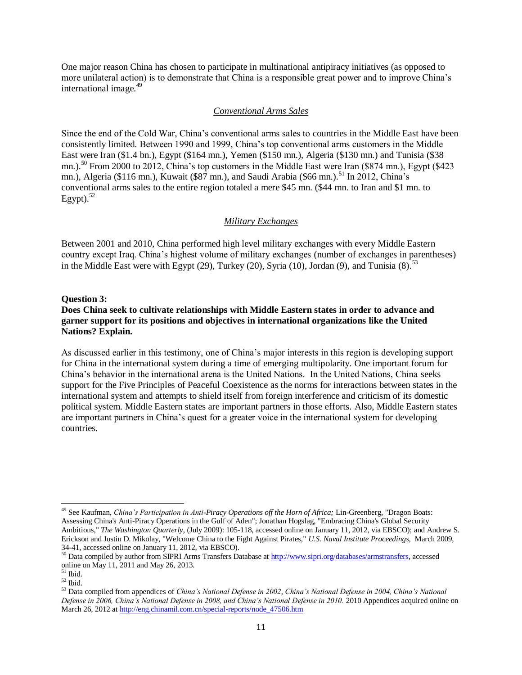One major reason China has chosen to participate in multinational antipiracy initiatives (as opposed to more unilateral action) is to demonstrate that China is a responsible great power and to improve China's international image. $49$ 

### *Conventional Arms Sales*

Since the end of the Cold War, China's conventional arms sales to countries in the Middle East have been consistently limited. Between 1990 and 1999, China's top conventional arms customers in the Middle East were Iran (\$1.4 bn.), Egypt (\$164 mn.), Yemen (\$150 mn.), Algeria (\$130 mn.) and Tunisia (\$38 mn.).<sup>50</sup> From 2000 to 2012, China's top customers in the Middle East were Iran (\$874 mn.), Egypt (\$423 mn.), Algeria (\$116 mn.), Kuwait (\$87 mn.), and Saudi Arabia (\$66 mn.).<sup>51</sup> In 2012, China's conventional arms sales to the entire region totaled a mere \$45 mn. (\$44 mn. to Iran and \$1 mn. to Egypt). $52$ 

### *Military Exchanges*

Between 2001 and 2010, China performed high level military exchanges with every Middle Eastern country except Iraq. China's highest volume of military exchanges (number of exchanges in parentheses) in the Middle East were with Egypt (29), Turkey (20), Syria (10), Jordan (9), and Tunisia  $(8)$ .<sup>53</sup>

### **Question 3:**

## **Does China seek to cultivate relationships with Middle Eastern states in order to advance and garner support for its positions and objectives in international organizations like the United Nations? Explain.**

As discussed earlier in this testimony, one of China's major interests in this region is developing support for China in the international system during a time of emerging multipolarity. One important forum for China's behavior in the international arena is the United Nations. In the United Nations, China seeks support for the Five Principles of Peaceful Coexistence as the norms for interactions between states in the international system and attempts to shield itself from foreign interference and criticism of its domestic political system. Middle Eastern states are important partners in those efforts. Also, Middle Eastern states are important partners in China's quest for a greater voice in the international system for developing countries.

 $\overline{\phantom{a}}$ 

<sup>&</sup>lt;sup>49</sup> See Kaufman, *China's Participation in Anti-Piracy Operations off the Horn of Africa; Lin-Greenberg, "Dragon Boats:* Assessing China's Anti-Piracy Operations in the Gulf of Aden"; Jonathan Hogslag, "Embracing China's Global Security Ambitions," *The Washington Quarterly*, (July 2009): 105-118, accessed online on January 11, 2012, via EBSCO); and Andrew S. Erickson and Justin D. Mikolay, "Welcome China to the Fight Against Pirates," *U.S. Naval Institute Proceedings,* March 2009, 34-41, accessed online on January 11, 2012, via EBSCO).

<sup>&</sup>lt;sup>50</sup> Data compiled by author from SIPRI Arms Transfers Database at [http://www.sipri.org/databases/armstransfers,](http://www.sipri.org/databases/armstransfers) accessed online on May 11, 2011 and May 26, 2013.

 $51$  Ibid.

 $^{\rm 52}$  Ibid.

<sup>53</sup> Data compiled from appendices of *China's National Defense in 2002*, *China's National Defense in 2004, China's National Defense in 2006, China's National Defense in 2008, and China's National Defense in 2010.* 2010 Appendices acquired online on March 26, 2012 at http://eng.chinamil.com.cn/special-reports/node 47506.htm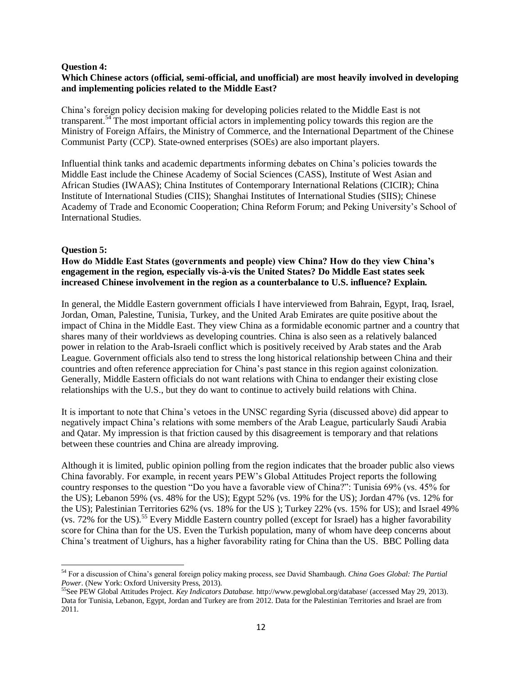#### **Question 4:**

# **Which Chinese actors (official, semi-official, and unofficial) are most heavily involved in developing and implementing policies related to the Middle East?**

China's foreign policy decision making for developing policies related to the Middle East is not transparent.<sup>54</sup> The most important official actors in implementing policy towards this region are the Ministry of Foreign Affairs, the Ministry of Commerce, and the International Department of the Chinese Communist Party (CCP). State-owned enterprises (SOEs) are also important players.

Influential think tanks and academic departments informing debates on China's policies towards the Middle East include the Chinese Academy of Social Sciences (CASS), Institute of West Asian and African Studies (IWAAS); China Institutes of Contemporary International Relations (CICIR); China Institute of International Studies (CIIS); Shanghai Institutes of International Studies (SIIS); Chinese Academy of Trade and Economic Cooperation; China Reform Forum; and Peking University's School of International Studies.

### **Question 5:**

 $\overline{a}$ 

**How do Middle East States (governments and people) view China? How do they view China's engagement in the region, especially vis-à-vis the United States? Do Middle East states seek increased Chinese involvement in the region as a counterbalance to U.S. influence? Explain.**

In general, the Middle Eastern government officials I have interviewed from Bahrain, Egypt, Iraq, Israel, Jordan, Oman, Palestine, Tunisia, Turkey, and the United Arab Emirates are quite positive about the impact of China in the Middle East. They view China as a formidable economic partner and a country that shares many of their worldviews as developing countries. China is also seen as a relatively balanced power in relation to the Arab-Israeli conflict which is positively received by Arab states and the Arab League. Government officials also tend to stress the long historical relationship between China and their countries and often reference appreciation for China's past stance in this region against colonization. Generally, Middle Eastern officials do not want relations with China to endanger their existing close relationships with the U.S., but they do want to continue to actively build relations with China.

It is important to note that China's vetoes in the UNSC regarding Syria (discussed above) did appear to negatively impact China's relations with some members of the Arab League, particularly Saudi Arabia and Qatar. My impression is that friction caused by this disagreement is temporary and that relations between these countries and China are already improving.

Although it is limited, public opinion polling from the region indicates that the broader public also views China favorably. For example, in recent years PEW's Global Attitudes Project reports the following country responses to the question "Do you have a favorable view of China?": Tunisia 69% (vs. 45% for the US); Lebanon 59% (vs. 48% for the US); Egypt 52% (vs. 19% for the US); Jordan 47% (vs. 12% for the US); Palestinian Territories 62% (vs. 18% for the US ); Turkey 22% (vs. 15% for US); and Israel 49% (vs. 72% for the US).<sup>55</sup> Every Middle Eastern country polled (except for Israel) has a higher favorability score for China than for the US. Even the Turkish population, many of whom have deep concerns about China's treatment of Uighurs, has a higher favorability rating for China than the US. BBC Polling data

<sup>54</sup> For a discussion of China's general foreign policy making process, see David Shambaugh. *China Goes Global: The Partial Power*. (New York: Oxford University Press, 2013).

<sup>55</sup>See PEW Global Attitudes Project. *Key Indicators Database.* http://www.pewglobal.org/database/ (accessed May 29, 2013). Data for Tunisia, Lebanon, Egypt, Jordan and Turkey are from 2012. Data for the Palestinian Territories and Israel are from 2011.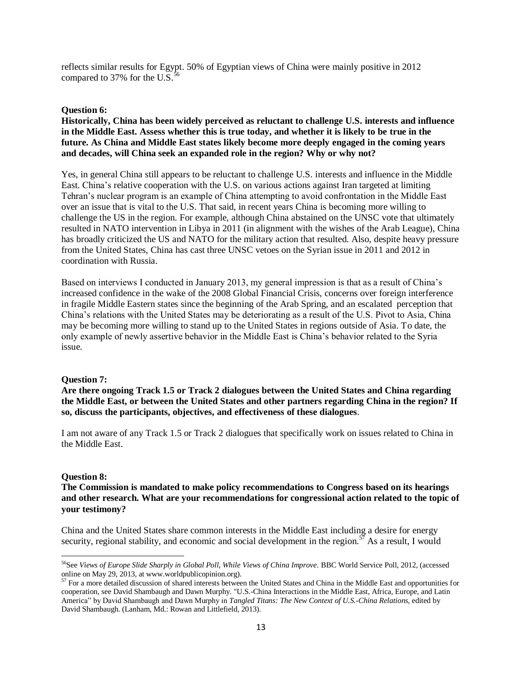reflects similar results for Egypt. 50% of Egyptian views of China were mainly positive in 2012 compared to 37% for the U.S. $\frac{5}{5}$ 

### **Question 6:**

**Historically, China has been widely perceived as reluctant to challenge U.S. interests and influence in the Middle East. Assess whether this is true today, and whether it is likely to be true in the future. As China and Middle East states likely become more deeply engaged in the coming years and decades, will China seek an expanded role in the region? Why or why not?**

Yes, in general China still appears to be reluctant to challenge U.S. interests and influence in the Middle East. China's relative cooperation with the U.S. on various actions against Iran targeted at limiting Tehran's nuclear program is an example of China attempting to avoid confrontation in the Middle East over an issue that is vital to the U.S. That said, in recent years China is becoming more willing to challenge the US in the region. For example, although China abstained on the UNSC vote that ultimately resulted in NATO intervention in Libya in 2011 (in alignment with the wishes of the Arab League), China has broadly criticized the US and NATO for the military action that resulted. Also, despite heavy pressure from the United States, China has cast three UNSC vetoes on the Syrian issue in 2011 and 2012 in coordination with Russia.

Based on interviews I conducted in January 2013, my general impression is that as a result of China's increased confidence in the wake of the 2008 Global Financial Crisis, concerns over foreign interference in fragile Middle Eastern states since the beginning of the Arab Spring, and an escalated perception that China's relations with the United States may be deteriorating as a result of the U.S. Pivot to Asia, China may be becoming more willing to stand up to the United States in regions outside of Asia. To date, the only example of newly assertive behavior in the Middle East is China's behavior related to the Syria issue.

# **Question 7:**

**Are there ongoing Track 1.5 or Track 2 dialogues between the United States and China regarding the Middle East, or between the United States and other partners regarding China in the region? If so, discuss the participants, objectives, and effectiveness of these dialogues**.

I am not aware of any Track 1.5 or Track 2 dialogues that specifically work on issues related to China in the Middle East.

### **Question 8:**

 $\overline{\phantom{a}}$ 

**The Commission is mandated to make policy recommendations to Congress based on its hearings and other research. What are your recommendations for congressional action related to the topic of your testimony?** 

China and the United States share common interests in the Middle East including a desire for energy security, regional stability, and economic and social development in the region.<sup>57</sup> As a result, I would

<sup>56</sup>See *Views of Europe Slide Sharply in Global Poll, While Views of China Improve.* BBC World Service Poll, 2012, (accessed online on May 29, 2013, at www.worldpublicopinion.org).

 $57$  For a more detailed discussion of shared interests between the United States and China in the Middle East and opportunities for cooperation, see David Shambaugh and Dawn Murphy. "U.S.-China Interactions in the Middle East, Africa, Europe, and Latin America" by David Shambaugh and Dawn Murphy in *Tangled Titans: The New Context of U.S.-China Relations*, edited by David Shambaugh. (Lanham, Md.: Rowan and Littlefield, 2013).